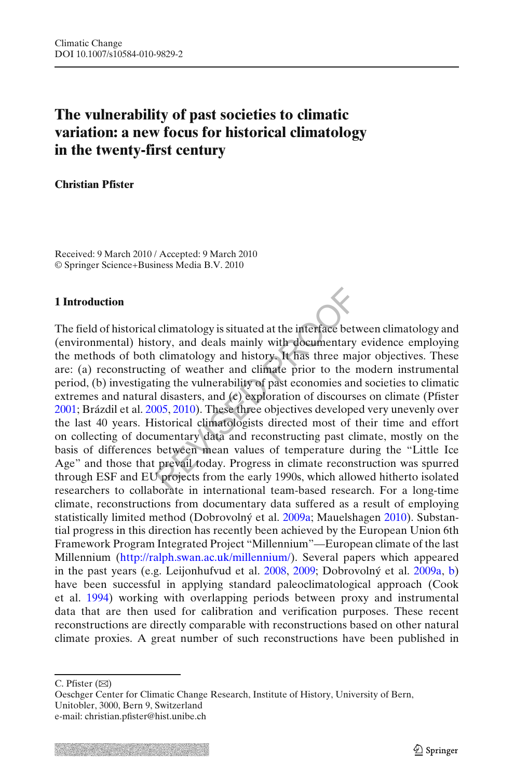## **The vulnerability of past societies to climatic variation: a new focus for historical climatology in the twenty-first century**

**Christian Pfister**

Received: 9 March 2010 / Accepted: 9 March 2010 © Springer Science+Business Media B.V. 2010

## **1 Introduction**

Compared Schematology is situated at the interface betty ory, and deals mainly with documentary<br>climatology and history. It has three may of weather and climate prior to the ring the vulnerability of past economies and dis The field of historical climatology is situated at the interface between climatology and (environmental) history, and deals mainly with documentary evidence employing the methods of both climatology and history. It has three major objectives. These are: (a) reconstructing of weather and climate prior to the modern instrumental period, (b) investigating the vulnerability of past economies and societies to climatic extremes and natural disasters, and (c) exploration of discourses on climate (Pfister [2001;](#page-5-0) Brázdil et al. [2005,](#page-4-0) 2010). These three objectives developed very unevenly over the last 40 years. Historical climatologists directed most of their time and effort on collecting of documentary data and reconstructing past climate, mostly on the basis of differences between mean values of temperature during the "Little Ice Age" and those that prevail today. Progress in climate reconstruction was spurred through ESF and EU projects from the early 1990s, which allowed hitherto isolated researchers to collaborate in international team-based research. For a long-time climate, reconstructions from documentary data suffered as a result of employing statistically limited method (Dobrovolný et al[.](#page-5-0) [2009a;](#page-5-0) Mauelshage[n](#page-5-0) [2010\)](#page-5-0). Substantial progress in this direction has recently been achieved by the European Union 6th Framework Program Integrated Project "Millennium"—European climate of the last Millennium [\(http://ralph.swan.ac.uk/millennium/\)](http://ralph.swan.ac.uk/millennium/). Several papers which appeared in the past years (e.g. Leijonhufvud et al. [2008,](#page-5-0) [2009;](#page-5-0) Dobrovolný et al. [2009a,](#page-5-0) [b\)](#page-5-0) have been successful in applying standard paleoclimatological approach (Cook et al. [1994](#page-4-0)) working with overlapping periods between proxy and instrumental data that are then used for calibration and verification purposes. These recent reconstructions are directly comparable with reconstructions based on other natural climate proxies. A great number of such reconstructions have been published in

C. Pfister  $(\boxtimes)$ 

Oeschger Center for Climatic Change Research, Institute of History, University of Bern, Unitobler, 3000, Bern 9, Switzerland e-mail: christian.pfister@hist.unibe.ch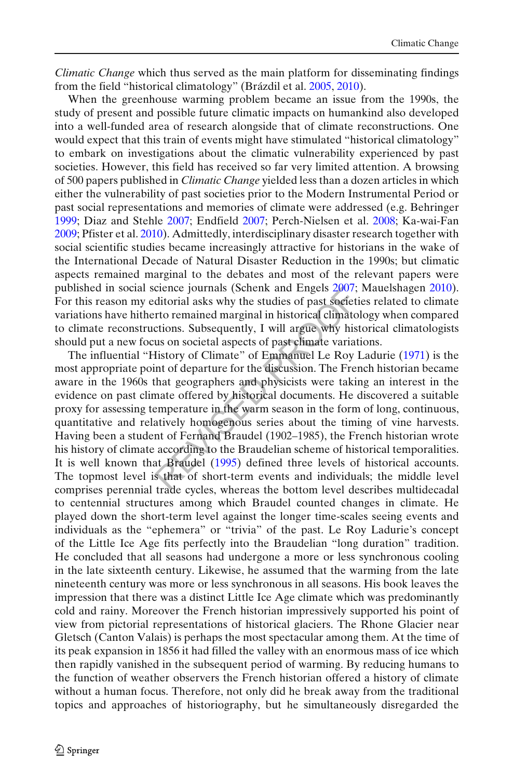*Climatic Change* which thus served as the main platform for disseminating findings from the field "historical climatology" (Brázdil et al[.](#page-4-0) [2005,](#page-4-0) [2010](#page-4-0)).

When the greenhouse warming problem became an issue from the 1990s, the study of present and possible future climatic impacts on humankind also developed into a well-funded area of research alongside that of climate reconstructions. One would expect that this train of events might have stimulated "historical climatology" to embark on investigations about the climatic vulnerability experienced by past societies. However, this field has received so far very limited attention. A browsing of 500 papers published in *Climatic Change* yielded less than a dozen articles in which either the vulnerability of past societies prior to the Modern Instrumental Period or past social representations and memories of climate were addressed (e.g. Behringer [1999;](#page-4-0) Diaz and Stehle [2007](#page-5-0); Endfield [2007;](#page-5-0) Perch-Nielsen et al. [2008](#page-5-0); Ka-wai-Fan [2009;](#page-5-0) Pfister et al. [2010](#page-6-0)). Admittedly, interdisciplinary disaster research together with social scientific studies became increasingly attractive for historians in the wake of the International Decade of Natural Disaster Reduction in the 1990s; but climatic aspects remained marginal to the debates and most of the relevant papers were published in social science journals (Schenk and Engel[s](#page-6-0) [2007;](#page-6-0) Mauelshage[n](#page-5-0) [2010\)](#page-5-0). For this reason my editorial asks why the studies of past societies related to climate variations have hitherto remained marginal in historical climatology when compared to climate reconstructions. Subsequently, I will argue why historical climatologists should put a new focus on societal aspects of past climate variations.

cence journals (schenk and Engels 2007;<br>ditorial asks why the studies of past societ<br>rto remained marginal in historical climate<br>ctions. Subsequently, I will argue why his<br>us on societal aspects of past climate variat<br>list The influential "History of Climate" of Emmanuel Le Roy Ladurie [\(1971\)](#page-5-0) is the most appropriate point of departure for the discussion. The French historian became aware in the 1960s that geographers and physicists were taking an interest in the evidence on past climate offered by historical documents. He discovered a suitable proxy for assessing temperature in the warm season in the form of long, continuous, quantitative and relatively homogenous series about the timing of vine harvests. Having been a student of Fernand Braudel (1902–1985), the French historian wrote his history of climate according to the Braudelian scheme of historical temporalities. It is well known that Braudel (1995) defined three levels of historical accounts. The topmost level is that of short-term events and individuals; the middle level comprises perennial trade cycles, whereas the bottom level describes multidecadal to centennial structures among which Braudel counted changes in climate. He played down the short-term level against the longer time-scales seeing events and individuals as the "ephemera" or "trivia" of the past. Le Roy Ladurie's concept of the Little Ice Age fits perfectly into the Braudelian "long duration" tradition. He concluded that all seasons had undergone a more or less synchronous cooling in the late sixteenth century. Likewise, he assumed that the warming from the late nineteenth century was more or less synchronous in all seasons. His book leaves the impression that there was a distinct Little Ice Age climate which was predominantly cold and rainy. Moreover the French historian impressively supported his point of view from pictorial representations of historical glaciers. The Rhone Glacier near Gletsch (Canton Valais) is perhaps the most spectacular among them. At the time of its peak expansion in 1856 it had filled the valley with an enormous mass of ice which then rapidly vanished in the subsequent period of warming. By reducing humans to the function of weather observers the French historian offered a history of climate without a human focus. Therefore, not only did he break away from the traditional topics and approaches of historiography, but he simultaneously disregarded the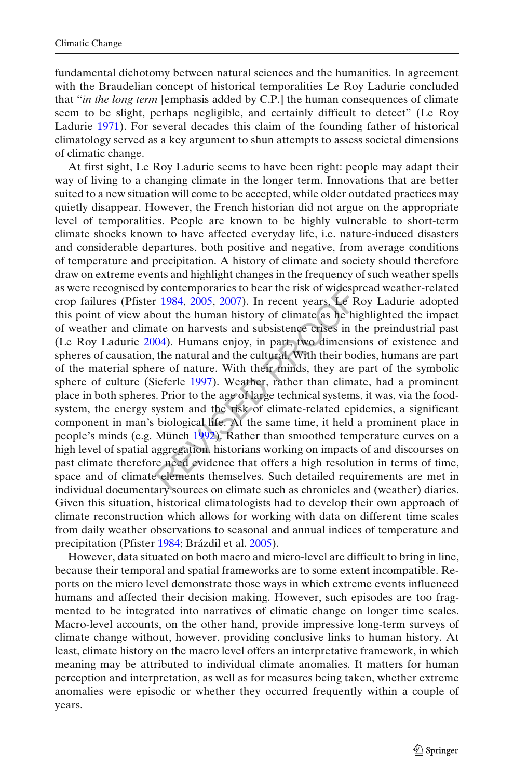fundamental dichotomy between natural sciences and the humanities. In agreement with the Braudelian concept of historical temporalities Le Roy Ladurie concluded that "*in the long term* [emphasis added by C.P.] the human consequences of climate seem to be slight, perhaps negligible, and certainly difficult to detect" (Le Roy Laduri[e](#page-5-0) [1971](#page-5-0)). For several decades this claim of the founding father of historical climatology served as a key argument to shun attempts to assess societal dimensions of climatic change.

by contemporaries to bear the risk of widesp-<br>
1984, 2005, 2007). In recent years, Le R<br>
bout the human history of climate as he hild<br>
ate on harvests and subsistence crises in t<br>  $04$ ). Humans enjoy, in part, two dimensi At first sight, Le Roy Ladurie seems to have been right: people may adapt their way of living to a changing climate in the longer term. Innovations that are better suited to a new situation will come to be accepted, while older outdated practices may quietly disappear. However, the French historian did not argue on the appropriate level of temporalities. People are known to be highly vulnerable to short-term climate shocks known to have affected everyday life, i.e. nature-induced disasters and considerable departures, both positive and negative, from average conditions of temperature and precipitation. A history of climate and society should therefore draw on extreme events and highlight changes in the frequency of such weather spells as were recognised by contemporaries to bear the risk of widespread weather-related crop failures (Pfister 1984, 2005, 2007). In recent years, Le Roy Ladurie adopted this point of view about the human history of climate as he highlighted the impact of weather and climate on harvests and subsistence crises in the preindustrial past (Le Roy Laduri[e](#page-5-0) [2004](#page-5-0)). Humans enjoy, in part, two dimensions of existence and spheres of causation, the natural and the cultural. With their bodies, humans are part of the material sphere of nature. With their minds, they are part of the symbolic sphere of culture (Sieferle 1997). Weather, rather than climate, had a prominent place in both spheres. Prior to the age of large technical systems, it was, via the foodsystem, the energy system and the risk of climate-related epidemics, a significant component in man's biological life. At the same time, it held a prominent place in people's minds (e.g. Münch 1992). Rather than smoothed temperature curves on a high level of spatial aggregation, historians working on impacts of and discourses on past climate therefore need evidence that offers a high resolution in terms of time, space and of climate elements themselves. Such detailed requirements are met in individual documentary sources on climate such as chronicles and (weather) diaries. Given this situation, historical climatologists had to develop their own approach of climate reconstruction which allows for working with data on different time scales from daily weather observations to seasonal and annual indices of temperature and precipitation (Pfister [1984;](#page-5-0) Brázdil et al. [2005\)](#page-4-0).

However, data situated on both macro and micro-level are difficult to bring in line, because their temporal and spatial frameworks are to some extent incompatible. Reports on the micro level demonstrate those ways in which extreme events influenced humans and affected their decision making. However, such episodes are too fragmented to be integrated into narratives of climatic change on longer time scales. Macro-level accounts, on the other hand, provide impressive long-term surveys of climate change without, however, providing conclusive links to human history. At least, climate history on the macro level offers an interpretative framework, in which meaning may be attributed to individual climate anomalies. It matters for human perception and interpretation, as well as for measures being taken, whether extreme anomalies were episodic or whether they occurred frequently within a couple of years.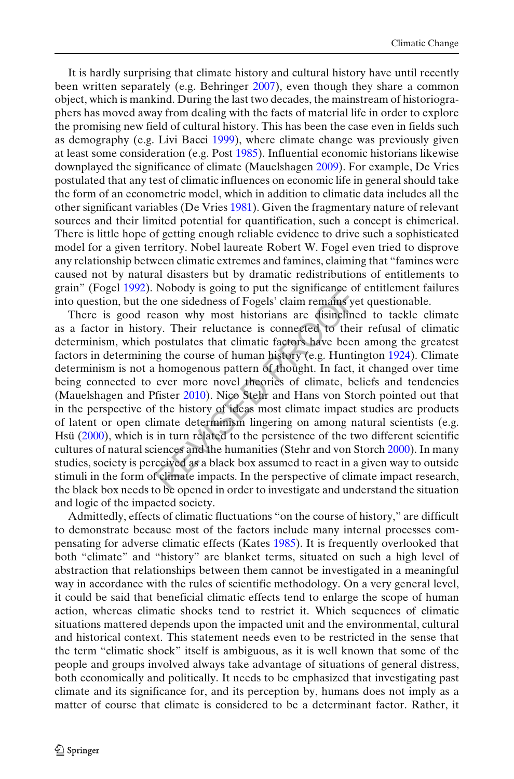It is hardly surprising that climate history and cultural history have until recently been written separately (e.g. Behringer [2007](#page-4-0)), even though they share a common object, which is mankind. During the last two decades, the mainstream of historiographers has moved away from dealing with the facts of material life in order to explore the promising new field of cultural history. This has been the case even in fields such as demography (e.g. Livi Bacci [1999\)](#page-5-0), where climate change was previously given at least some consideration (e.g. Post [1985\)](#page-6-0). Influential economic historians likewise dow[n](#page-5-0)played the significance of climate (Mauelshagen [2009\)](#page-5-0). For example, De Vries postulated that any test of climatic influences on economic life in general should take the form of an econometric model, which in addition to climatic data includes all the other significant variables (De Vrie[s](#page-5-0) [1981\)](#page-5-0). Given the fragmentary nature of relevant sources and their limited potential for quantification, such a concept is chimerical. There is little hope of getting enough reliable evidence to drive such a sophisticated model for a given territory. Nobel laureate Robert W. Fogel even tried to disprove any relationship between climatic extremes and famines, claiming that "famines were caused not by natural disasters but by dramatic redistributions of entitlements to grain" (Foge[l](#page-5-0) [1992\)](#page-5-0). Nobody is going to put the significance of entitlement failures into question, but the one sidedness of Fogels' claim remains yet questionable.

Nobody is going to put the significance of<br>
e one sidedness of Fogels' claim remains yeas<br>
e one sidedness of Fogels' claim remains yeas<br>
en a disincline<br>
ry. Their reluctance is connected to their<br>
postulates that climati There is good reason why most historians are disinclined to tackle climate as a factor in history. Their reluctance is connected to their refusal of climatic determinism, which postulates that climatic factors have been among the greatest factors in determining the course of human history (e.g. Huntington [1924](#page-5-0)). Climate determinism is not a homogenous pattern of thought. In fact, it changed over time being connected to ever more novel theories of climate, beliefs and tendencies (Mauelshagen and Pfister 2010). Nico Stehr and Hans von Storch pointed out that in the perspective of the history of ideas most climate impact studies are products of latent or open climate determinism lingering on among natural scientists (e.g. Hsü [\(2000](#page-5-0)), which is in turn related to the persistence of the two different scientific cultures of natural sciences and the humanities (Stehr and von Storc[h](#page-6-0) [2000\)](#page-6-0). In many studies, society is perceived as a black box assumed to react in a given way to outside stimuli in the form of climate impacts. In the perspective of climate impact research, the black box needs to be opened in order to investigate and understand the situation and logic of the impacted society.

Admittedly, effects of climatic fluctuations "on the course of history," are difficult to demonstrate because most of the factors include many internal processes compensating for adverse climatic effects (Kate[s](#page-5-0) [1985\)](#page-5-0). It is frequently overlooked that both "climate" and "history" are blanket terms, situated on such a high level of abstraction that relationships between them cannot be investigated in a meaningful way in accordance with the rules of scientific methodology. On a very general level, it could be said that beneficial climatic effects tend to enlarge the scope of human action, whereas climatic shocks tend to restrict it. Which sequences of climatic situations mattered depends upon the impacted unit and the environmental, cultural and historical context. This statement needs even to be restricted in the sense that the term "climatic shock" itself is ambiguous, as it is well known that some of the people and groups involved always take advantage of situations of general distress, both economically and politically. It needs to be emphasized that investigating past climate and its significance for, and its perception by, humans does not imply as a matter of course that climate is considered to be a determinant factor. Rather, it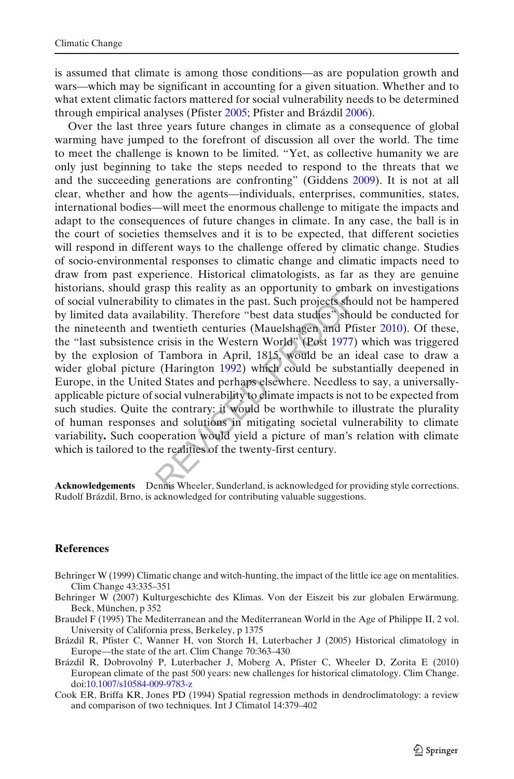<span id="page-4-0"></span>is assumed that climate is among those conditions—as are population growth and wars—which may be significant in accounting for a given situation. Whether and to what extent climatic factors mattered for social vulnerability needs to be determined through empirical analyses (Pfister [2005](#page-5-0); Pfister and Brázdil [2006\)](#page-6-0).

asp this reality as an opportunity to embate<br>y to climates in the past. Such projects sho<br>ability. Therefore "best data studies" show<br>wentieth centuries (Mauelshagen and Pfi<br>crisis in the Western World" (Post 1977)<br>Tambora Over the last three years future changes in climate as a consequence of global warming have jumped to the forefront of discussion all over the world. The time to meet the challenge is known to be limited. "Yet, as collective humanity we are only just beginning to take the steps needed to respond to the threats that we and the succeeding generations are confronting" (Gidden[s](#page-5-0) [2009\)](#page-5-0). It is not at all clear, whether and how the agents—individuals, enterprises, communities, states, international bodies—will meet the enormous challenge to mitigate the impacts and adapt to the consequences of future changes in climate. In any case, the ball is in the court of societies themselves and it is to be expected, that different societies will respond in different ways to the challenge offered by climatic change. Studies of socio-environmental responses to climatic change and climatic impacts need to draw from past experience. Historical climatologists, as far as they are genuine historians, should grasp this reality as an opportunity to embark on investigations of social vulnerability to climates in the past. Such projects should not be hampered by limited data availability. Therefore "best data studies" should be conducted for the nineteenth and twentieth centuries (Mauelshagen and Pfister [2010](#page-5-0)). Of these, the "last subsistence crisis in the Western World" (Post 1977) which was triggered by the explosion of Tambora in April, 1815, would be an ideal case to draw a wider global picture (Harington 1992) which could be substantially deepened in Europe, in the United States and perhaps elsewhere. Needless to say, a universallyapplicable picture of social vulnerability to climate impacts is not to be expected from such studies. Quite the contrary: it would be worthwhile to illustrate the plurality of human responses and solutions in mitigating societal vulnerability to climate variability**.** Such cooperation would yield a picture of man's relation with climate which is tailored to the realities of the twenty-first century.

**Acknowledgements** Dennis Wheeler, Sunderland, is acknowledged for providing style corrections. Rudolf Brázdil, Brno, is acknowledged for contributing valuable suggestions.

## **References**

- Behringer W (1999) Climatic change and witch-hunting, the impact of the little ice age on mentalities. Clim Change 43:335–351
- Behringer W (2007) Kulturgeschichte des Klimas. Von der Eiszeit bis zur globalen Erwärmung. Beck, München, p 352
- Braudel F (1995) The Mediterranean and the Mediterranean World in the Age of Philippe II, 2 vol. University of California press, Berkeley, p 1375
- Brázdil R, Pfister C, Wanner H, von Storch H, Luterbacher J (2005) Historical climatology in Europe—the state of the art. Clim Change 70:363–430
- Brázdil R, Dobrovolný P, Luterbacher J, Moberg A, Pfister C, Wheeler D, Zorita E (2010) European climate of the past 500 years: new challenges for historical climatology. Clim Change. doi[:10.1007/s10584-009-9783-z](http://dx.doi.org/10.1007/s10584-009-9783-z)
- Cook ER, Briffa KR, Jones PD (1994) Spatial regression methods in dendroclimatology: a review and comparison of two techniques. Int J Climatol 14:379–402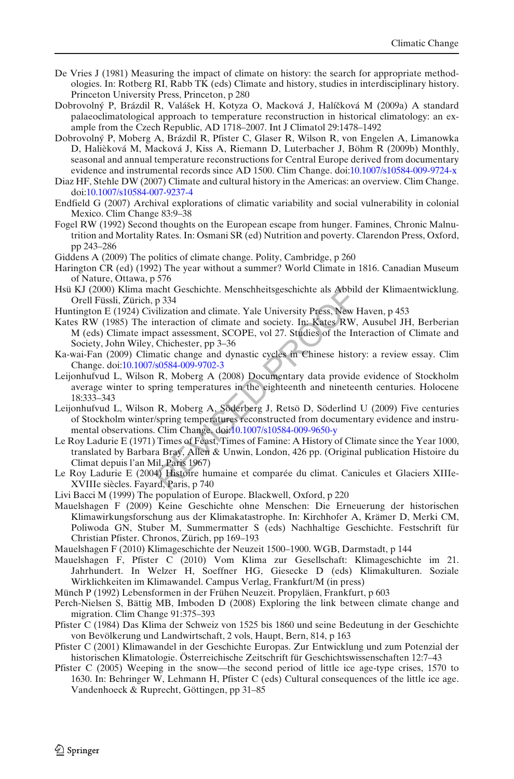- <span id="page-5-0"></span>De Vries J (1981) Measuring the impact of climate on history: the search for appropriate methodologies. In: Rotberg RI, Rabb TK (eds) Climate and history, studies in interdisciplinary history. Princeton University Press, Princeton, p 280
- Dobrovolný P, Brázdil R, Valášek H, Kotyza O, Macková J, Halícková M (2009a) A standard ˇ palaeoclimatological approach to temperature reconstruction in historical climatology: an example from the Czech Republic, AD 1718–2007. Int J Climatol 29:1478–1492
- Dobrovolný P, Moberg A, Brázdil R, Pfister C, Glaser R, Wilson R, von Engelen A, Limanowka D, Halièková M, Macková J, Kiss A, Riemann D, Luterbacher J, Böhm R (2009b) Monthly, seasonal and annual temperature reconstructions for Central Europe derived from documentary evidence and instrumental records since AD 1500. Clim Change. doi[:10.1007/s10584-009-9724-x](http://dx.doi.org/10.1007/s10584-009-9724-x)
- Diaz HF, Stehle DW (2007) Climate and cultural history in the Americas: an overview. Clim Change. doi[:10.1007/s10584-007-9237-4](http://dx.doi.org/10.1007/s10584-007-9237-4)
- Endfield G (2007) Archival explorations of climatic variability and social vulnerability in colonial Mexico. Clim Change 83:9–38
- Fogel RW (1992) Second thoughts on the European escape from hunger. Famines, Chronic Malnutrition and Mortality Rates. In: Osmani SR (ed) Nutrition and poverty. Clarendon Press, Oxford, pp 243–286
- Giddens A (2009) The politics of climate change. Polity, Cambridge, p 260
- Harington CR (ed) (1992) The year without a summer? World Climate in 1816. Canadian Museum of Nature, Ottawa, p 576
- Hsü KJ (2000) Klima macht Geschichte. Menschheitsgeschichte als Abbild der Klimaentwicklung. Orell Füssli, Zürich, p 334
- Huntington E (1924) Civilization and climate. Yale University Press, New Haven, p 453
- Kates RW (1985) The interaction of climate and society. In: Kates RW, Ausubel JH, Berberian M (eds) Climate impact assessment, SCOPE, vol 27. Studies of the Interaction of Climate and Society, John Wiley, Chichester, pp 3–36
- Ka-wai-Fan (2009) Climatic change and dynastic cycles in Chinese history: a review essay. Clim Change. doi[:10.1007/s0584-009-9702-3](http://dx.doi.org/10.1007/s0584-009-9702-3)
- Leijonhufvud L, Wilson R, Moberg A (2008) Documentary data provide evidence of Stockholm average winter to spring temperatures in the eighteenth and nineteenth centuries. Holocene 18:333–343
- acht Geschichte. Menschheitsgeschichte als Abbil-<br>p 334<br>ilization and climate. Yale University Press, New Interaction of climate and society. In: Kates RW,<br>act assessment, [S](http://dx.doi.org/10.1007/s10584-009-9650-y)COPE, vol 27. Studies of the In<br>Chichester, pp 3-Leijonhufvud L, Wilson R, Moberg A, Söderberg J, Retsö D, Söderlind U (2009) Five centuries of Stockholm winter/spring temperatures reconstructed from documentary evidence and instrumental observations. Clim Change. doi:10.1007/s10584-009-9650-y
- Le Roy Ladurie E (1971) Times of Feast, Times of Famine: A History of Climate since the Year 1000, translated by Barbara Bray, Allen & Unwin, London, 426 pp. (Original publication Histoire du Climat depuis l'an Mil, Paris 1967)
- Le Roy Ladurie E (2004) Histoire humaine et comparée du climat. Canicules et Glaciers XIIIe-XVIIIe siècles. Fayard, Paris, p 740
- Livi Bacci M (1999) The population of Europe. Blackwell, Oxford, p 220
- Mauelshagen F (2009) Keine Geschichte ohne Menschen: Die Erneuerung der historischen Klimawirkungsforschung aus der Klimakatastrophe. In: Kirchhofer A, Krämer D, Merki CM, Poliwoda GN, Stuber M, Summermatter S (eds) Nachhaltige Geschichte. Festschrift für Christian Pfister. Chronos, Zürich, pp 169–193
- Mauelshagen F (2010) Klimageschichte der Neuzeit 1500–1900. WGB, Darmstadt, p 144
- Mauelshagen F, Pfister C (2010) Vom Klima zur Gesellschaft: Klimageschichte im 21. Jahrhundert. In Welzer H, Soeffner HG, Giesecke D (eds) Klimakulturen. Soziale Wirklichkeiten im Klimawandel. Campus Verlag, Frankfurt/M (in press)
- Münch P (1992) Lebensformen in der Frühen Neuzeit. Propyläen, Frankfurt, p 603
- Perch-Nielsen S, Bättig MB, Imboden D (2008) Exploring the link between climate change and migration. Clim Change 91:375–393
- Pfister C (1984) Das Klima der Schweiz von 1525 bis 1860 und seine Bedeutung in der Geschichte von Bevölkerung und Landwirtschaft, 2 vols, Haupt, Bern, 814, p 163
- Pfister C (2001) Klimawandel in der Geschichte Europas. Zur Entwicklung und zum Potenzial der historischen Klimatologie. Österreichische Zeitschrift für Geschichtswissenschaften 12:7–43
- Pfister C (2005) Weeping in the snow—the second period of little ice age-type crises, 1570 to 1630. In: Behringer W, Lehmann H, Pfister C (eds) Cultural consequences of the little ice age. Vandenhoeck & Ruprecht, Göttingen, pp 31–85